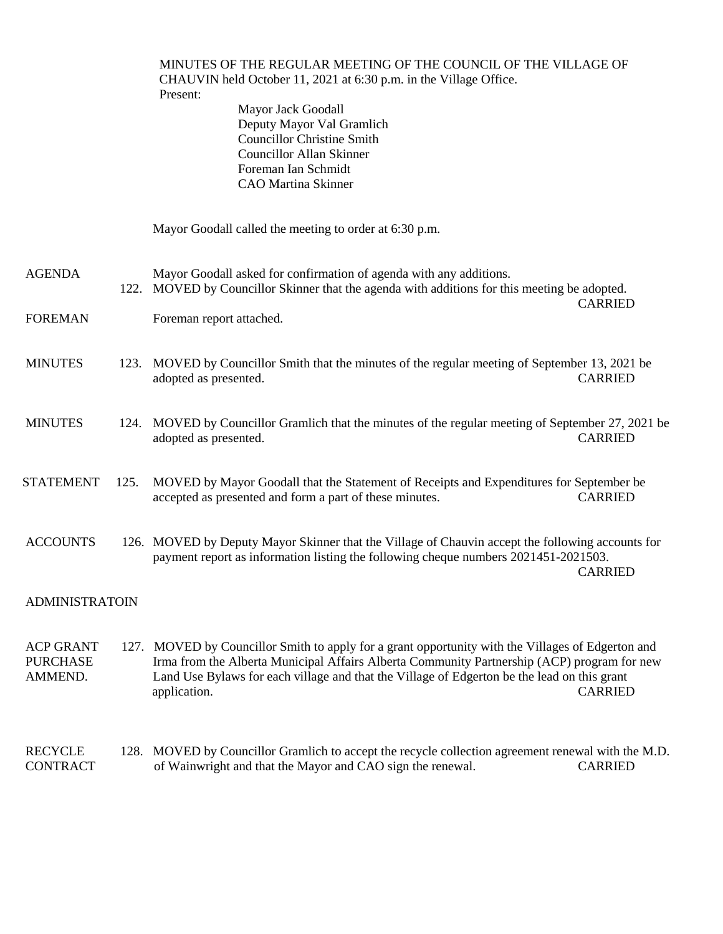|                                                |      | MINUTES OF THE REGULAR MEETING OF THE COUNCIL OF THE VILLAGE OF<br>CHAUVIN held October 11, 2021 at 6:30 p.m. in the Village Office.<br>Present:<br>Mayor Jack Goodall<br>Deputy Mayor Val Gramlich<br><b>Councillor Christine Smith</b><br><b>Councillor Allan Skinner</b><br>Foreman Ian Schmidt<br><b>CAO</b> Martina Skinner |                |  |
|------------------------------------------------|------|----------------------------------------------------------------------------------------------------------------------------------------------------------------------------------------------------------------------------------------------------------------------------------------------------------------------------------|----------------|--|
|                                                |      | Mayor Goodall called the meeting to order at 6:30 p.m.                                                                                                                                                                                                                                                                           |                |  |
| <b>AGENDA</b>                                  |      | Mayor Goodall asked for confirmation of agenda with any additions.<br>122. MOVED by Councillor Skinner that the agenda with additions for this meeting be adopted.                                                                                                                                                               | <b>CARRIED</b> |  |
| <b>FOREMAN</b>                                 |      | Foreman report attached.                                                                                                                                                                                                                                                                                                         |                |  |
| <b>MINUTES</b>                                 |      | 123. MOVED by Councillor Smith that the minutes of the regular meeting of September 13, 2021 be<br>adopted as presented.                                                                                                                                                                                                         | <b>CARRIED</b> |  |
| <b>MINUTES</b>                                 |      | 124. MOVED by Councillor Gramlich that the minutes of the regular meeting of September 27, 2021 be<br>adopted as presented.                                                                                                                                                                                                      | <b>CARRIED</b> |  |
| <b>STATEMENT</b>                               | 125. | MOVED by Mayor Goodall that the Statement of Receipts and Expenditures for September be<br>accepted as presented and form a part of these minutes.                                                                                                                                                                               | <b>CARRIED</b> |  |
| <b>ACCOUNTS</b>                                |      | 126. MOVED by Deputy Mayor Skinner that the Village of Chauvin accept the following accounts for<br>payment report as information listing the following cheque numbers 2021451-2021503.                                                                                                                                          | <b>CARRIED</b> |  |
| <b>ADMINISTRATOIN</b>                          |      |                                                                                                                                                                                                                                                                                                                                  |                |  |
| <b>ACP GRANT</b><br><b>PURCHASE</b><br>AMMEND. |      | 127. MOVED by Councillor Smith to apply for a grant opportunity with the Villages of Edgerton and<br>Irma from the Alberta Municipal Affairs Alberta Community Partnership (ACP) program for new<br>Land Use Bylaws for each village and that the Village of Edgerton be the lead on this grant<br>application.                  | <b>CARRIED</b> |  |
| <b>RECYCLE</b><br><b>CONTRACT</b>              |      | 128. MOVED by Councillor Gramlich to accept the recycle collection agreement renewal with the M.D.<br>of Wainwright and that the Mayor and CAO sign the renewal.                                                                                                                                                                 | <b>CARRIED</b> |  |